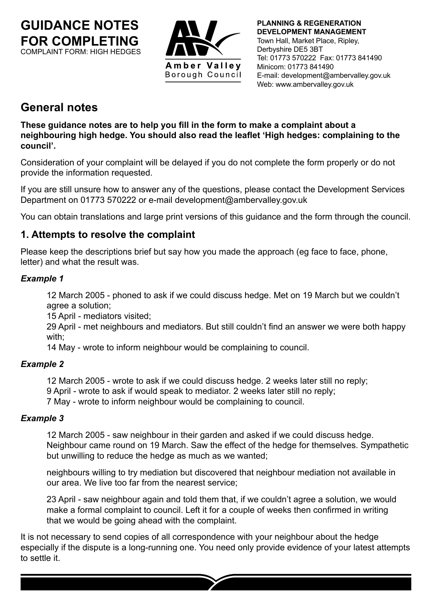**GUIDANCE NOTES FOR COMPLETING** COMPLAINT FORM: HIGH HEDGES



**PLANNING & REGENERATION DEVELOPMENT MANAGEMENT** Town Hall, Market Place, Ripley, Derbyshire DE5 3BT Tel: 01773 570222 Fax: 01773 841490 Minicom: 01773 841490 E-mail: development@ambervalley.gov.uk Web: www.ambervalley.gov.uk

# **General notes**

**These guidance notes are to help you fill in the form to make a complaint about a neighbouring high hedge. You should also read the leaflet 'High hedges: complaining to the council'.**

Consideration of your complaint will be delayed if you do not complete the form properly or do not provide the information requested.

If you are still unsure how to answer any of the questions, please contact the Development Services Department on 01773 570222 or e-mail development@ambervalley.gov.uk

You can obtain translations and large print versions of this guidance and the form through the council.

# **1. Attempts to resolve the complaint**

Please keep the descriptions brief but say how you made the approach (eg face to face, phone, letter) and what the result was.

#### *Example 1*

12 March 2005 - phoned to ask if we could discuss hedge. Met on 19 March but we couldn't agree a solution;

15 April - mediators visited;

 29 April - met neighbours and mediators. But still couldn't find an answer we were both happy with;

14 May - wrote to inform neighbour would be complaining to council.

## *Example 2*

12 March 2005 - wrote to ask if we could discuss hedge. 2 weeks later still no reply;

9 April - wrote to ask if would speak to mediator. 2 weeks later still no reply;

7 May - wrote to inform neighbour would be complaining to council.

## *Example 3*

12 March 2005 - saw neighbour in their garden and asked if we could discuss hedge. Neighbour came round on 19 March. Saw the effect of the hedge for themselves. Sympathetic but unwilling to reduce the hedge as much as we wanted;

neighbours willing to try mediation but discovered that neighbour mediation not available in our area. We live too far from the nearest service;

23 April - saw neighbour again and told them that, if we couldn't agree a solution, we would make a formal complaint to council. Left it for a couple of weeks then confirmed in writing that we would be going ahead with the complaint.

It is not necessary to send copies of all correspondence with your neighbour about the hedge especially if the dispute is a long-running one. You need only provide evidence of your latest attempts to settle it.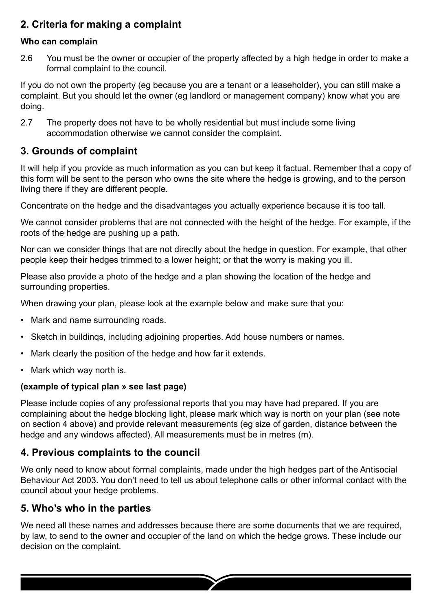# **2. Criteria for making a complaint**

#### **Who can complain**

2.6 You must be the owner or occupier of the property affected by a high hedge in order to make a formal complaint to the council.

If you do not own the property (eg because you are a tenant or a leaseholder), you can still make a complaint. But you should let the owner (eg landlord or management company) know what you are doing.

2.7 The property does not have to be wholly residential but must include some living accommodation otherwise we cannot consider the complaint.

## **3. Grounds of complaint**

It will help if you provide as much information as you can but keep it factual. Remember that a copy of this form will be sent to the person who owns the site where the hedge is growing, and to the person living there if they are different people.

Concentrate on the hedge and the disadvantages you actually experience because it is too tall.

We cannot consider problems that are not connected with the height of the hedge. For example, if the roots of the hedge are pushing up a path.

Nor can we consider things that are not directly about the hedge in question. For example, that other people keep their hedges trimmed to a lower height; or that the worry is making you ill.

Please also provide a photo of the hedge and a plan showing the location of the hedge and surrounding properties.

When drawing your plan, please look at the example below and make sure that you:

- Mark and name surrounding roads.
- Sketch in buildings, including adjoining properties. Add house numbers or names.
- Mark clearly the position of the hedge and how far it extends.
- Mark which way north is.

#### **(example of typical plan » see last page)**

Please include copies of any professional reports that you may have had prepared. If you are complaining about the hedge blocking light, please mark which way is north on your plan (see note on section 4 above) and provide relevant measurements (eg size of garden, distance between the hedge and any windows affected). All measurements must be in metres (m).

## **4. Previous complaints to the council**

We only need to know about formal complaints, made under the high hedges part of the Antisocial Behaviour Act 2003. You don't need to tell us about telephone calls or other informal contact with the council about your hedge problems.

## **5. Who's who in the parties**

We need all these names and addresses because there are some documents that we are required, by law, to send to the owner and occupier of the land on which the hedge grows. These include our decision on the complaint.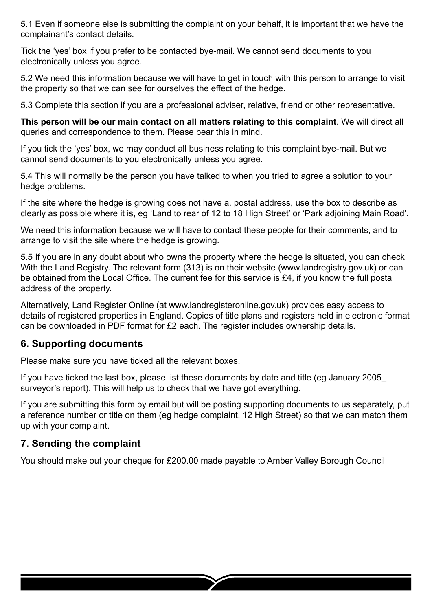5.1 Even if someone else is submitting the complaint on your behalf, it is important that we have the complainant's contact details.

Tick the 'yes' box if you prefer to be contacted bye-mail. We cannot send documents to you electronically unless you agree.

5.2 We need this information because we will have to get in touch with this person to arrange to visit the property so that we can see for ourselves the effect of the hedge.

5.3 Complete this section if you are a professional adviser, relative, friend or other representative.

**This person will be our main contact on all matters relating to this complaint**. We will direct all queries and correspondence to them. Please bear this in mind.

If you tick the 'yes' box, we may conduct all business relating to this complaint bye-mail. But we cannot send documents to you electronically unless you agree.

5.4 This will normally be the person you have talked to when you tried to agree a solution to your hedge problems.

If the site where the hedge is growing does not have a. postal address, use the box to describe as clearly as possible where it is, eg 'Land to rear of 12 to 18 High Street' or 'Park adjoining Main Road'.

We need this information because we will have to contact these people for their comments, and to arrange to visit the site where the hedge is growing.

5.5 If you are in any doubt about who owns the property where the hedge is situated, you can check With the Land Registry. The relevant form (313) is on their website (www.landregistry.gov.uk) or can be obtained from the Local Office. The current fee for this service is £4, if you know the full postal address of the property.

Alternatively, Land Register Online (at www.landregisteronline.gov.uk) provides easy access to details of registered properties in England. Copies of title plans and registers held in electronic format can be downloaded in PDF format for £2 each. The register includes ownership details.

# **6. Supporting documents**

Please make sure you have ticked all the relevant boxes.

If you have ticked the last box, please list these documents by date and title (eg January 2005\_ surveyor's report). This will help us to check that we have got everything.

If you are submitting this form by email but will be posting supporting documents to us separately, put a reference number or title on them (eg hedge complaint, 12 High Street) so that we can match them up with your complaint.

# **7. Sending the complaint**

You should make out your cheque for £200.00 made payable to Amber Valley Borough Council